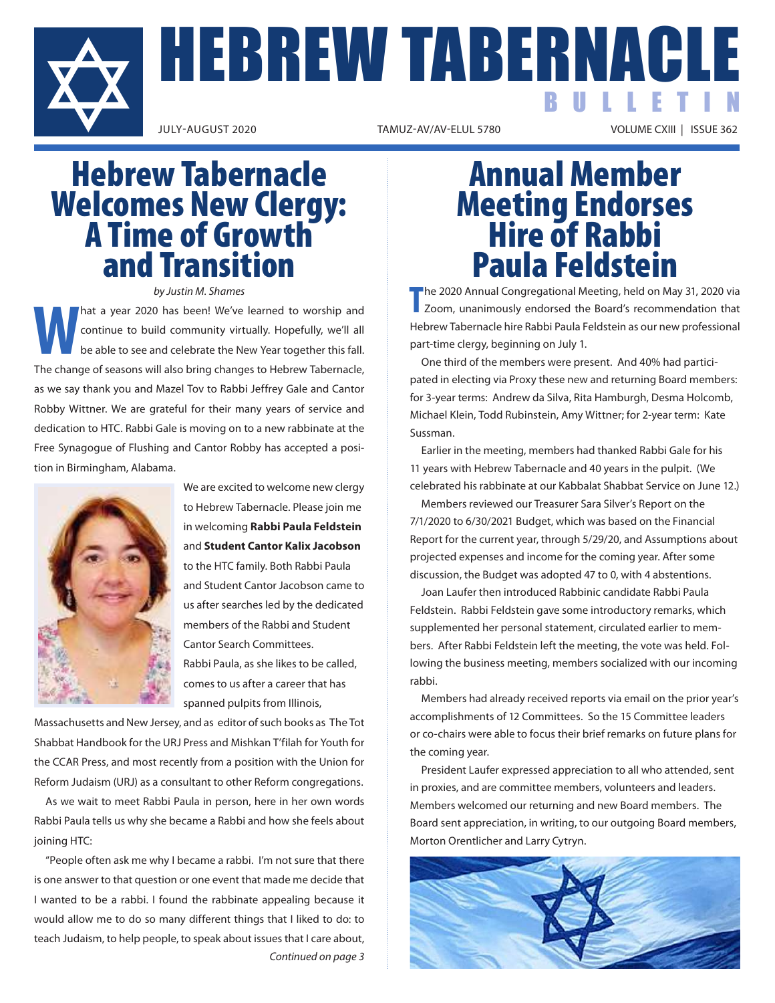

HEBREW TABERNACLE BULLETIN

VOLUME CXIII | ISSUE 362

# Hebrew Tabernacle Welcomes New Clergy: A Time of Growth and Transition

*by Justin M. Shames*

**We've learned to worship and**<br> **We've learned to worship and**<br> **Continue to build community virtually. Hopefully, we'll all<br>
be able to see and celebrate the New Year together this fall.** continue to build community virtually. Hopefully, we'll all be able to see and celebrate the New Year together this fall. The change of seasons will also bring changes to Hebrew Tabernacle, as we say thank you and Mazel Tov to Rabbi Jeffrey Gale and Cantor Robby Wittner. We are grateful for their many years of service and dedication to HTC. Rabbi Gale is moving on to a new rabbinate at the Free Synagogue of Flushing and Cantor Robby has accepted a position in Birmingham, Alabama.



 We are excited to welcome new clergy to Hebrew Tabernacle. Please join me in welcoming **Rabbi Paula Feldstein** and **Student Cantor Kalix Jacobson** to the HTC family. Both Rabbi Paula and Student Cantor Jacobson came to us after searches led by the dedicated members of the Rabbi and Student Cantor Search Committees. Rabbi Paula, as she likes to be called, comes to us after a career that has spanned pulpits from Illinois,

Massachusetts and New Jersey, and as editor of such books as The Tot Shabbat Handbook for the URJ Press and Mishkan T'filah for Youth for the CCAR Press, and most recently from a position with the Union for Reform Judaism (URJ) as a consultant to other Reform congregations.

As we wait to meet Rabbi Paula in person, here in her own words Rabbi Paula tells us why she became a Rabbi and how she feels about joining HTC:

"People often ask me why I became a rabbi. I'm not sure that there is one answer to that question or one event that made me decide that I wanted to be a rabbi. I found the rabbinate appealing because it would allow me to do so many different things that I liked to do: to teach Judaism, to help people, to speak about issues that I care about, *Continued on page 3*

# Annual Member Meeting Endorses Hire of Rabbi Paula Feldstein

**T** he 2020 Annual Congregational Meeting, held on May 31, 2020 via Zoom, unanimously endorsed the Board's recommendation that Hebrew Tabernacle hire Rabbi Paula Feldstein as our new professional part-time clergy, beginning on July 1.

One third of the members were present. And 40% had participated in electing via Proxy these new and returning Board members: for 3-year terms: Andrew da Silva, Rita Hamburgh, Desma Holcomb, Michael Klein, Todd Rubinstein, Amy Wittner; for 2-year term: Kate Sussman.

Earlier in the meeting, members had thanked Rabbi Gale for his 11 years with Hebrew Tabernacle and 40 years in the pulpit. (We celebrated his rabbinate at our Kabbalat Shabbat Service on June 12.)

Members reviewed our Treasurer Sara Silver's Report on the 7/1/2020 to 6/30/2021 Budget, which was based on the Financial Report for the current year, through 5/29/20, and Assumptions about projected expenses and income for the coming year. After some discussion, the Budget was adopted 47 to 0, with 4 abstentions.

Joan Laufer then introduced Rabbinic candidate Rabbi Paula Feldstein. Rabbi Feldstein gave some introductory remarks, which supplemented her personal statement, circulated earlier to members. After Rabbi Feldstein left the meeting, the vote was held. Following the business meeting, members socialized with our incoming rabbi.

Members had already received reports via email on the prior year's accomplishments of 12 Committees. So the 15 Committee leaders or co-chairs were able to focus their brief remarks on future plans for the coming year.

President Laufer expressed appreciation to all who attended, sent in proxies, and are committee members, volunteers and leaders. Members welcomed our returning and new Board members. The Board sent appreciation, in writing, to our outgoing Board members, Morton Orentlicher and Larry Cytryn.

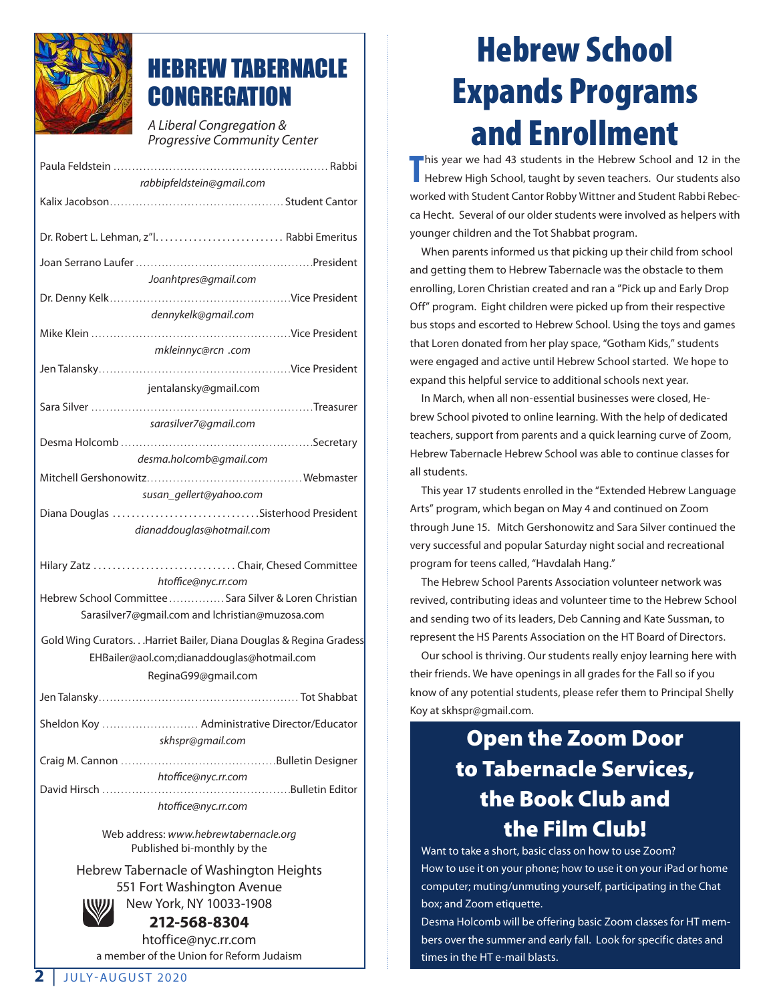

### HEBREW TABERNACLE **CONGREGATION**

*A Liberal Congregation & Progressive Community Center*

Paula Feldstein . . Rabbi

| rabbipfeldstein@gmail.com                                        |  |  |
|------------------------------------------------------------------|--|--|
|                                                                  |  |  |
|                                                                  |  |  |
|                                                                  |  |  |
|                                                                  |  |  |
|                                                                  |  |  |
| Joanhtpres@gmail.com                                             |  |  |
|                                                                  |  |  |
| dennykelk@gmail.com                                              |  |  |
|                                                                  |  |  |
| mkleinnyc@rcn .com                                               |  |  |
|                                                                  |  |  |
| jentalansky@gmail.com                                            |  |  |
|                                                                  |  |  |
| sarasilver7@gmail.com                                            |  |  |
|                                                                  |  |  |
| desma.holcomb@gmail.com                                          |  |  |
|                                                                  |  |  |
| susan_gellert@yahoo.com                                          |  |  |
| Diana Douglas Sisterhood President                               |  |  |
| dianaddouglas@hotmail.com                                        |  |  |
|                                                                  |  |  |
| Hilary Zatz  Chair, Chesed Committee                             |  |  |
| htoffice@nyc.rr.com                                              |  |  |
| Hebrew School Committee  Sara Silver & Loren Christian           |  |  |
| Sarasilver7@gmail.com and lchristian@muzosa.com                  |  |  |
|                                                                  |  |  |
| Gold Wing CuratorsHarriet Bailer, Diana Douglas & Regina Gradess |  |  |
| EHBailer@aol.com;dianaddouglas@hotmail.com                       |  |  |
| ReginaG99@gmail.com                                              |  |  |
|                                                                  |  |  |
|                                                                  |  |  |
| Sheldon Koy  Administrative Director/Educator                    |  |  |
| skhspr@gmail.com                                                 |  |  |
|                                                                  |  |  |
| htoffice@nyc.rr.com                                              |  |  |
|                                                                  |  |  |
| htoffice@nvc.rr.com                                              |  |  |

Web address: *www.hebrewtabernacle.org* Published bi-monthly by the

Hebrew Tabernacle of Washington Heights 551 Fort Washington Avenue New York, NY 10033-1908



### **212-568-8304**

htoffice@nyc.rr.com a member of the Union for Reform Judaism

## Hebrew School Expands Programs and Enrollment

**T** his year we had 43 students in the Hebrew School and 12 in the Hebrew High School, taught by seven teachers. Our students also worked with Student Cantor Robby Wittner and Student Rabbi Rebecca Hecht. Several of our older students were involved as helpers with younger children and the Tot Shabbat program.

When parents informed us that picking up their child from school and getting them to Hebrew Tabernacle was the obstacle to them enrolling, Loren Christian created and ran a "Pick up and Early Drop Off" program. Eight children were picked up from their respective bus stops and escorted to Hebrew School. Using the toys and games that Loren donated from her play space, "Gotham Kids," students were engaged and active until Hebrew School started. We hope to expand this helpful service to additional schools next year.

In March, when all non-essential businesses were closed, Hebrew School pivoted to online learning. With the help of dedicated teachers, support from parents and a quick learning curve of Zoom, Hebrew Tabernacle Hebrew School was able to continue classes for all students.

This year 17 students enrolled in the "Extended Hebrew Language Arts" program, which began on May 4 and continued on Zoom through June 15. Mitch Gershonowitz and Sara Silver continued the very successful and popular Saturday night social and recreational program for teens called, "Havdalah Hang."

The Hebrew School Parents Association volunteer network was revived, contributing ideas and volunteer time to the Hebrew School and sending two of its leaders, Deb Canning and Kate Sussman, to represent the HS Parents Association on the HT Board of Directors.

Our school is thriving. Our students really enjoy learning here with their friends. We have openings in all grades for the Fall so if you know of any potential students, please refer them to Principal Shelly Koy at skhspr@gmail.com.

### Open the Zoom Door to Tabernacle Services, the Book Club and the Film Club!

Want to take a short, basic class on how to use Zoom? How to use it on your phone; how to use it on your iPad or home computer; muting/unmuting yourself, participating in the Chat box; and Zoom etiquette.

Desma Holcomb will be offering basic Zoom classes for HT members over the summer and early fall. Look for specific dates and times in the HT e-mail blasts.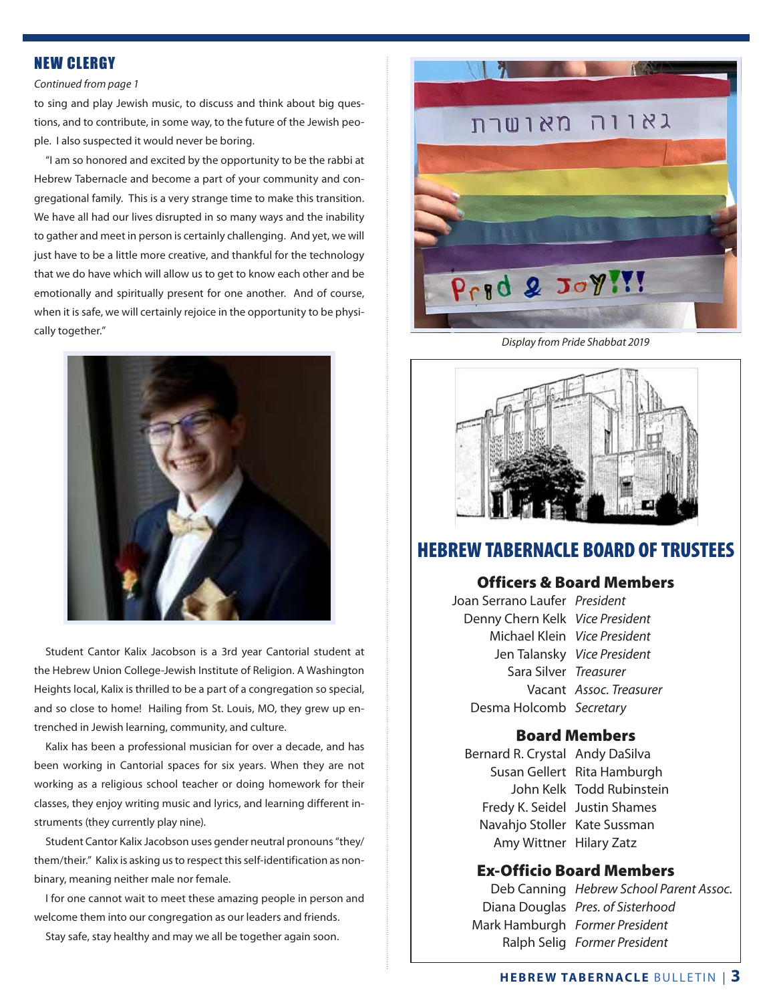### NEW CLERGY

#### *Continued from page 1*

to sing and play Jewish music, to discuss and think about big questions, and to contribute, in some way, to the future of the Jewish people. I also suspected it would never be boring.

"I am so honored and excited by the opportunity to be the rabbi at Hebrew Tabernacle and become a part of your community and congregational family. This is a very strange time to make this transition. We have all had our lives disrupted in so many ways and the inability to gather and meet in person is certainly challenging. And yet, we will just have to be a little more creative, and thankful for the technology that we do have which will allow us to get to know each other and be emotionally and spiritually present for one another. And of course, when it is safe, we will certainly rejoice in the opportunity to be physically together."



Student Cantor Kalix Jacobson is a 3rd year Cantorial student at the Hebrew Union College-Jewish Institute of Religion. A Washington Heights local, Kalix is thrilled to be a part of a congregation so special, and so close to home! Hailing from St. Louis, MO, they grew up entrenched in Jewish learning, community, and culture.

Kalix has been a professional musician for over a decade, and has been working in Cantorial spaces for six years. When they are not working as a religious school teacher or doing homework for their classes, they enjoy writing music and lyrics, and learning different instruments (they currently play nine).

Student Cantor Kalix Jacobson uses gender neutral pronouns "they/ them/their." Kalix is asking us to respect this self-identification as nonbinary, meaning neither male nor female.

I for one cannot wait to meet these amazing people in person and welcome them into our congregation as our leaders and friends.

Stay safe, stay healthy and may we all be together again soon.



*Display from Pride Shabbat 2019*



### HEBREW TABERNACLE BOARD OF TRUSTEES

### Officers & Board Members

Joan Serrano Laufer *President* Denny Chern Kelk *Vice President* Michael Klein *Vice President* Jen Talansky *Vice President* Sara Silver *Treasurer* Vacant *Assoc. Treasurer* Desma Holcomb *Secretary*

### Board Members

Bernard R. Crystal Andy DaSilva Susan Gellert Rita Hamburgh John Kelk Todd Rubinstein Fredy K. Seidel Justin Shames Navahjo Stoller Kate Sussman Amy Wittner Hilary Zatz

### Ex-Officio Board Members

Deb Canning *Hebrew School Parent Assoc.* Diana Douglas *Pres. of Sisterhood* Mark Hamburgh *Former President* Ralph Selig *Former President*

### **HEBREW TABERNACLE** BULLETIN | **3**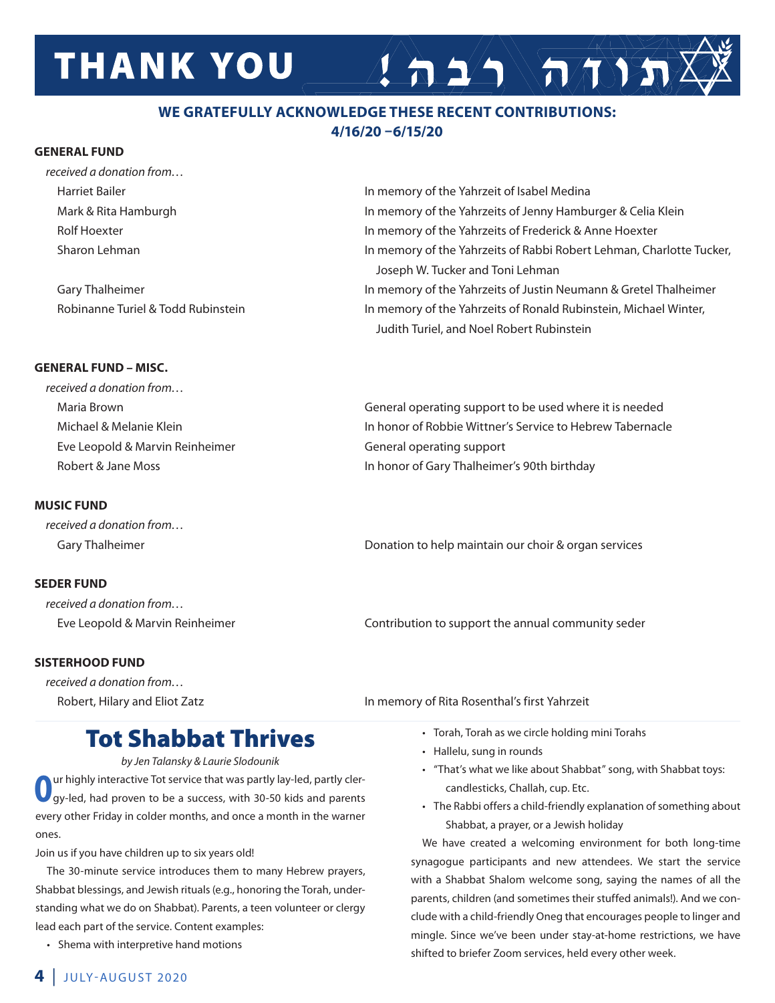# **THANK YOU**

### **WE GRATEFULLY ACKNOWLEDGE THESE RECENT CONTRIBUTIONS: 4/16/20 –6/15/20**

### **GENERAL FUND**

| received a donation from           |                                                                      |
|------------------------------------|----------------------------------------------------------------------|
| <b>Harriet Bailer</b>              | In memory of the Yahrzeit of Isabel Medina                           |
| Mark & Rita Hamburgh               | In memory of the Yahrzeits of Jenny Hamburger & Celia Klein          |
| Rolf Hoexter                       | In memory of the Yahrzeits of Frederick & Anne Hoexter               |
| Sharon Lehman                      | In memory of the Yahrzeits of Rabbi Robert Lehman, Charlotte Tucker, |
|                                    | Joseph W. Tucker and Toni Lehman                                     |
| Gary Thalheimer                    | In memory of the Yahrzeits of Justin Neumann & Gretel Thalheimer     |
| Robinanne Turiel & Todd Rubinstein | In memory of the Yahrzeits of Ronald Rubinstein, Michael Winter,     |
|                                    | Judith Turiel, and Noel Robert Rubinstein                            |

### **GENERAL FUND – MISC.**

| General operating support to be used where it is needed   |
|-----------------------------------------------------------|
| In honor of Robbie Wittner's Service to Hebrew Tabernacle |
| General operating support                                 |
| In honor of Gary Thalheimer's 90th birthday               |
|                                                           |

### **MUSIC FUND**

*received a donation from…* 

### **SEDER FUND**

*received a donation from…*

### **SISTERHOOD FUND**

*received a donation from…* Robert, Hilary and Eliot Zatz **In Markt 2008** In memory of Rita Rosenthal's first Yahrzeit

Gary Thalheimer **Donation to help maintain our choir & organ services** Donation to help maintain our choir & organ services

 $\left( \frac{1}{n} \right)$ 

Eve Leopold & Marvin Reinheimer Contribution to support the annual community seder

### Tot Shabbat Thrives

*by Jen Talansky & Laurie Slodounik*

ur highly interactive Tot service that was partly lay-led, partly clergy-led, had proven to be a success, with 30-50 kids and parents every other Friday in colder months, and once a month in the warner ones.

Join us if you have children up to six years old!

The 30-minute service introduces them to many Hebrew prayers, Shabbat blessings, and Jewish rituals (e.g., honoring the Torah, understanding what we do on Shabbat). Parents, a teen volunteer or clergy lead each part of the service. Content examples:

 • Shema with interpretive hand motions

- Torah, Torah as we circle holding mini Torahs
	- • Hallelu, sung in rounds
	- • "That's what we like about Shabbat" song, with Shabbat toys: candlesticks, Challah, cup. Etc.
	- The Rabbi offers a child-friendly explanation of something about Shabbat, a prayer, or a Jewish holiday

We have created a welcoming environment for both long-time synagogue participants and new attendees. We start the service with a Shabbat Shalom welcome song, saying the names of all the parents, children (and sometimes their stuffed animals!). And we conclude with a child-friendly Oneg that encourages people to linger and mingle. Since we've been under stay-at-home restrictions, we have shifted to briefer Zoom services, held every other week.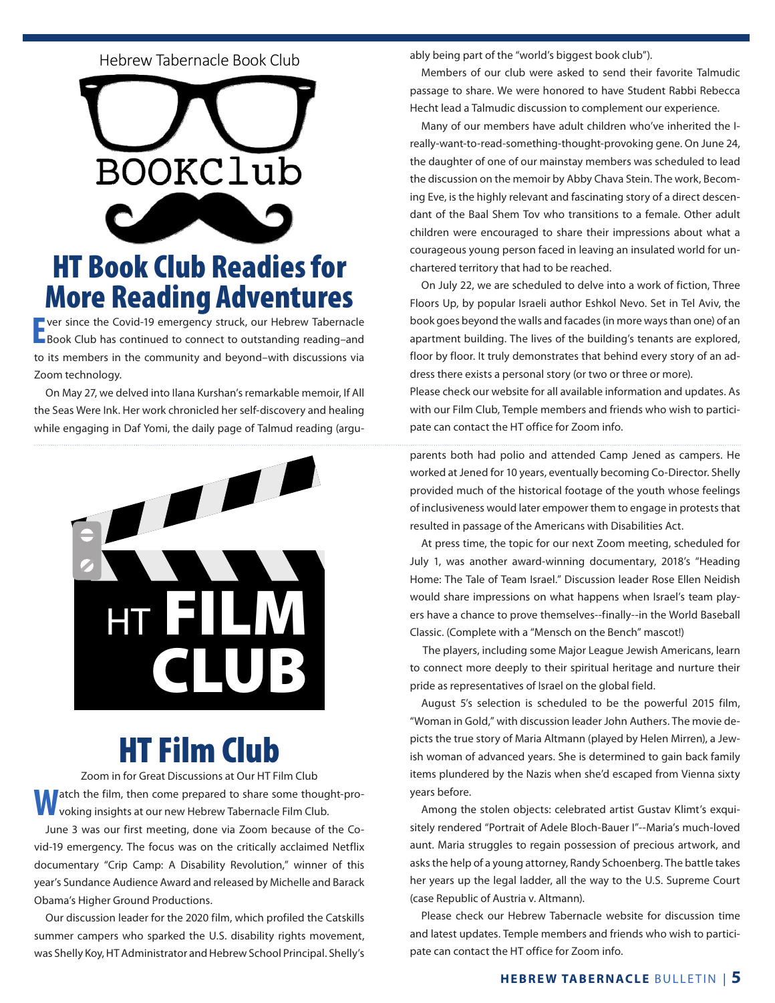### Here  $\mathcal{H}_{\mathcal{B}}$  and  $\mathcal{H}_{\mathcal{B}}$  and  $\mathcal{H}_{\mathcal{B}}$  and  $\mathcal{H}_{\mathcal{B}}$  and  $\mathcal{H}_{\mathcal{B}}$ Hebrew Tabernacle Book Club



### **HT Book Club Readies for More Reading Adventures** ANA DA *The Jew Store*, by Stella Suberman (1998) **Join us for the next meeting of the Hebrew Tabernacle Book Club, open to the community.**

The ver-since the Covid-19 emergency struck, our Hebrew Tabernacle<br>Book Club has continued to connect to outstanding reading-and ver since the Covid-19 emergency struck, our Hebrew Tabernacle to its members in the community and beyond-with discussions via Zoom technology. Come also a life. --Aaron Bronson. In 1920, in 1920, in 1920, in 1920, in 1920, in 1920, in 1  $\frac{1}{2}$ 

On May 27, we delved into Ilana Kurshan's remarkable memoir, If All the Seas Were Ink. Her work chronicled her self-discovery and healing while engaging in Daf Yomi, the daily page of Talmud reading (argu-



### HT Film Club

Zoom in for Great Discussions at Our HT Film Club atch the film, then come prepared to share some thought-provoking insights at our new Hebrew Tabernacle Film Club.

June 3 was our first meeting, done via Zoom because of the Covid-19 emergency. The focus was on the critically acclaimed Netflix documentary "Crip Camp: A Disability Revolution," winner of this year's Sundance Audience Award and released by Michelle and Barack Obama's Higher Ground Productions.

Our discussion leader for the 2020 film, which profiled the Catskills summer campers who sparked the U.S. disability rights movement, was Shelly Koy, HT Administrator and Hebrew School Principal. Shelly's ably being part of the "world's biggest book club").

Members of our club were asked to send their favorite Talmudic passage to share. We were honored to have Student Rabbi Rebecca Hecht lead a Talmudic discussion to complement our experience.

Many of our members have adult children who've inherited the Ireally-want-to-read-something-thought-provoking gene. On June 24, the daughter of one of our mainstay members was scheduled to lead the discussion on the memoir by Abby Chava Stein. The work, Becoming Eve, is the highly relevant and fascinating story of a direct descendant of the Baal Shem Tov who transitions to a female. Other adult children were encouraged to share their impressions about what a courageous young person faced in leaving an insulated world for unchartered territory that had to be reached.

On July 22, we are scheduled to delve into a work of fiction, Three Floors Up, by popular Israeli author Eshkol Nevo. Set in Tel Aviv, the book goes beyond the walls and facades (in more ways than one) of an apartment building. The lives of the building's tenants are explored, floor by floor. It truly demonstrates that behind every story of an address there exists a personal story (or two or three or more). Please check our website for all available information and updates. As with our Film Club, Temple members and friends who wish to participate can contact the HT office for Zoom info.

parents both had polio and attended Camp Jened as campers. He worked at Jened for 10 years, eventually becoming Co-Director. Shelly provided much of the historical footage of the youth whose feelings of inclusiveness would later empower them to engage in protests that resulted in passage of the Americans with Disabilities Act.

At press time, the topic for our next Zoom meeting, scheduled for July 1, was another award-winning documentary, 2018's "Heading Home: The Tale of Team Israel." Discussion leader Rose Ellen Neidish would share impressions on what happens when Israel's team players have a chance to prove themselves--finally--in the World Baseball Classic. (Complete with a "Mensch on the Bench" mascot!)

 The players, including some Major League Jewish Americans, learn to connect more deeply to their spiritual heritage and nurture their pride as representatives of Israel on the global field.

August 5's selection is scheduled to be the powerful 2015 film, "Woman in Gold," with discussion leader John Authers. The movie depicts the true story of Maria Altmann (played by Helen Mirren), a Jewish woman of advanced years. She is determined to gain back family items plundered by the Nazis when she'd escaped from Vienna sixty years before.

Among the stolen objects: celebrated artist Gustav Klimt's exquisitely rendered "Portrait of Adele Bloch-Bauer I"--Maria's much-loved aunt. Maria struggles to regain possession of precious artwork, and asks the help of a young attorney, Randy Schoenberg. The battle takes her years up the legal ladder, all the way to the U.S. Supreme Court (case Republic of Austria v. Altmann).

Please check our Hebrew Tabernacle website for discussion time and latest updates. Temple members and friends who wish to participate can contact the HT office for Zoom info.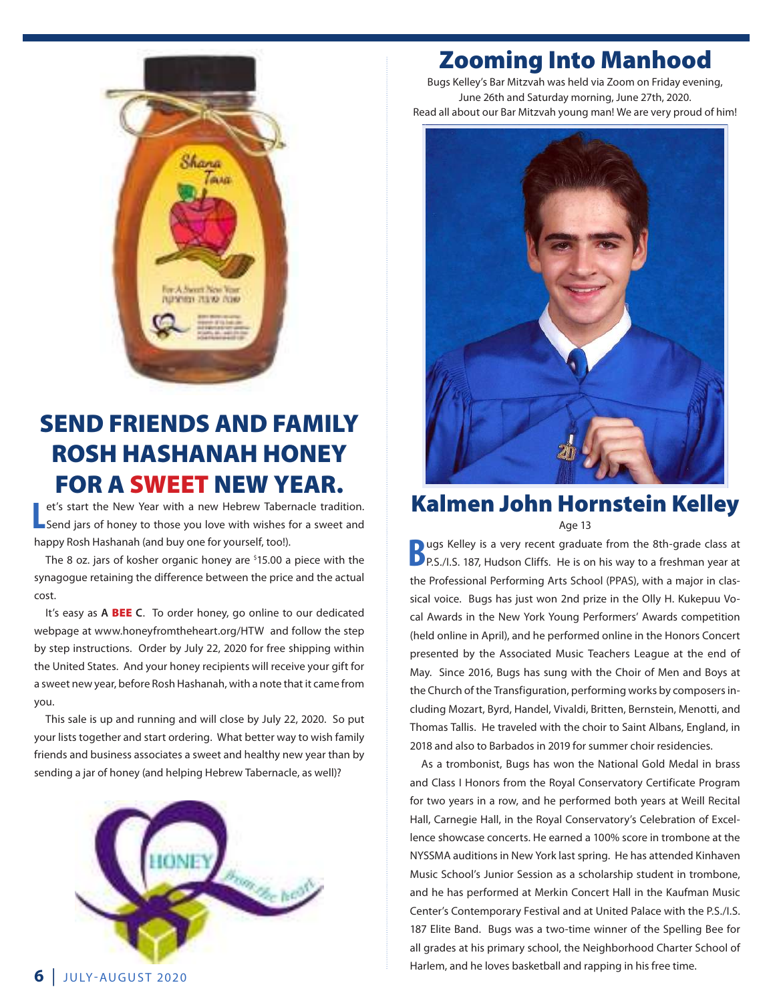

### SEND FRIENDS AND FAMILY ROSH HASHANAH HONEY FOR A SWEET NEW YEAR.

**L** et's start the New Year with a new Hebrew Tabernacle tradition.<br>Send jars of honey to those you love with wishes for a sweet and et's start the New Year with a new Hebrew Tabernacle tradition. happy Rosh Hashanah (and buy one for yourself, too!).

The 8 oz. jars of kosher organic honey are <sup>\$</sup>15.00 a piece with the synagogue retaining the difference between the price and the actual cost.

It's easy as **A** BEE **C**. To order honey, go online to our dedicated webpage at www.honeyfromtheheart.org/HTW and follow the step by step instructions. Order by July 22, 2020 for free shipping within the United States. And your honey recipients will receive your gift for a sweet new year, before Rosh Hashanah, with a note that it came from you.

This sale is up and running and will close by July 22, 2020. So put your lists together and start ordering. What better way to wish family friends and business associates a sweet and healthy new year than by sending a jar of honey (and helping Hebrew Tabernacle, as well)?



### Zooming Into Manhood

Bugs Kelley's Bar Mitzvah was held via Zoom on Friday evening, June 26th and Saturday morning, June 27th, 2020. Read all about our Bar Mitzvah young man! We are very proud of him!



### Kalmen John Hornstein Kelley Age 13

**B**ugs Kelley is a very recent graduate from the 8th-grade class at **B** P.S./I.S. 187, Hudson Cliffs. He is on his way to a freshman year at the Professional Performing Arts School (PPAS), with a major in classical voice. Bugs has just won 2nd prize in the Olly H. Kukepuu Vocal Awards in the New York Young Performers' Awards competition (held online in April), and he performed online in the Honors Concert presented by the Associated Music Teachers League at the end of May. Since 2016, Bugs has sung with the Choir of Men and Boys at the Church of the Transfiguration, performing works by composers including Mozart, Byrd, Handel, Vivaldi, Britten, Bernstein, Menotti, and Thomas Tallis. He traveled with the choir to Saint Albans, England, in 2018 and also to Barbados in 2019 for summer choir residencies.

As a trombonist, Bugs has won the National Gold Medal in brass and Class I Honors from the Royal Conservatory Certificate Program for two years in a row, and he performed both years at Weill Recital Hall, Carnegie Hall, in the Royal Conservatory's Celebration of Excellence showcase concerts. He earned a 100% score in trombone at the NYSSMA auditions in New York last spring. He has attended Kinhaven Music School's Junior Session as a scholarship student in trombone, and he has performed at Merkin Concert Hall in the Kaufman Music Center's Contemporary Festival and at United Palace with the P.S./I.S. 187 Elite Band. Bugs was a two-time winner of the Spelling Bee for all grades at his primary school, the Neighborhood Charter School of Harlem, and he loves basketball and rapping in his free time.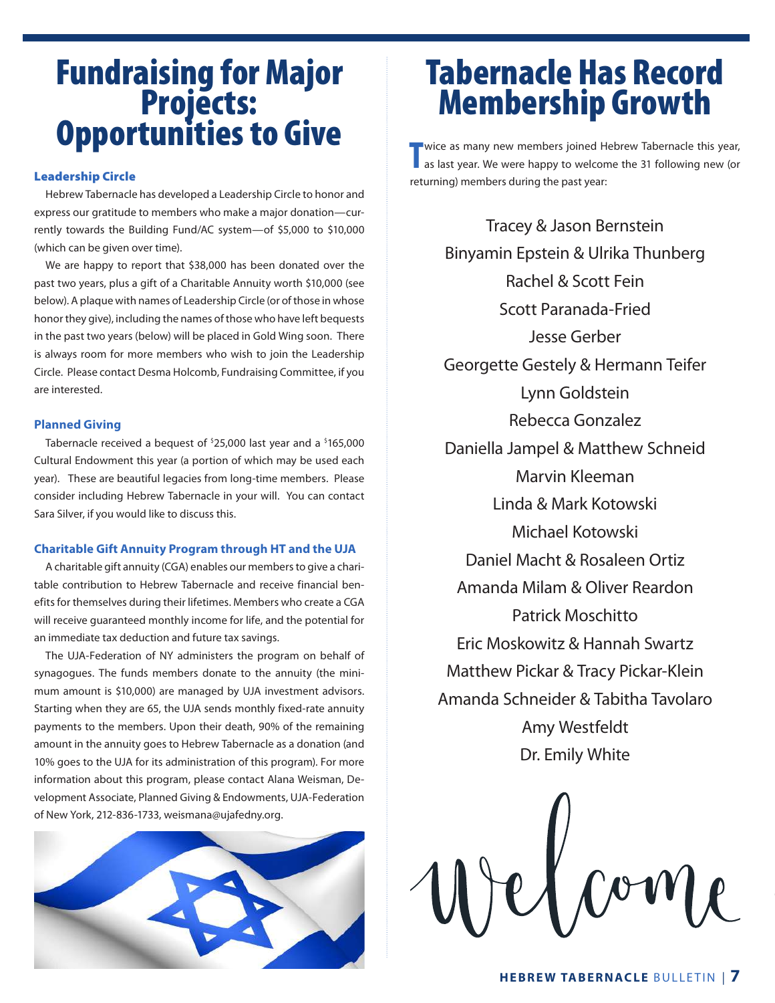# Fundraising for Major Projects: Opportunities to Give

### Leadership Circle

Hebrew Tabernacle has developed a Leadership Circle to honor and express our gratitude to members who make a major donation—currently towards the Building Fund/AC system—of \$5,000 to \$10,000 (which can be given over time).

We are happy to report that \$38,000 has been donated over the past two years, plus a gift of a Charitable Annuity worth \$10,000 (see below). A plaque with names of Leadership Circle (or of those in whose honor they give), including the names of those who have left bequests in the past two years (below) will be placed in Gold Wing soon. There is always room for more members who wish to join the Leadership Circle. Please contact Desma Holcomb, Fundraising Committee, if you are interested.

#### **Planned Giving**

Tabernacle received a bequest of <sup>\$</sup>25,000 last year and a <sup>\$</sup>165,000 Cultural Endowment this year (a portion of which may be used each year). These are beautiful legacies from long-time members. Please consider including Hebrew Tabernacle in your will. You can contact Sara Silver, if you would like to discuss this.

#### **Charitable Gift Annuity Program through HT and the UJA**

A charitable gift annuity (CGA) enables our members to give a charitable contribution to Hebrew Tabernacle and receive financial benefits for themselves during their lifetimes. Members who create a CGA will receive guaranteed monthly income for life, and the potential for an immediate tax deduction and future tax savings.

The UJA-Federation of NY administers the program on behalf of synagogues. The funds members donate to the annuity (the minimum amount is \$10,000) are managed by UJA investment advisors. Starting when they are 65, the UJA sends monthly fixed-rate annuity payments to the members. Upon their death, 90% of the remaining amount in the annuity goes to Hebrew Tabernacle as a donation (and 10% goes to the UJA for its administration of this program). For more information about this program, please contact Alana Weisman, Development Associate, Planned Giving & Endowments, UJA-Federation of New York, 212-836-1733, weismana@ujafedny.org.



### Tabernacle Has Record Membership Growth

**T** wice as many new members joined Hebrew Tabernacle this year, as last year. We were happy to welcome the 31 following new (or wice as many new members joined Hebrew Tabernacle this year, returning) members during the past year:

Tracey & Jason Bernstein Binyamin Epstein & Ulrika Thunberg Rachel & Scott Fein Scott Paranada-Fried Jesse Gerber Georgette Gestely & Hermann Teifer Lynn Goldstein Rebecca Gonzalez Daniella Jampel & Matthew Schneid Marvin Kleeman Linda & Mark Kotowski Michael Kotowski Daniel Macht & Rosaleen Ortiz Amanda Milam & Oliver Reardon Patrick Moschitto Eric Moskowitz & Hannah Swartz Matthew Pickar & Tracy Pickar-Klein Amanda Schneider & Tabitha Tavolaro Amy Westfeldt Dr. Emily White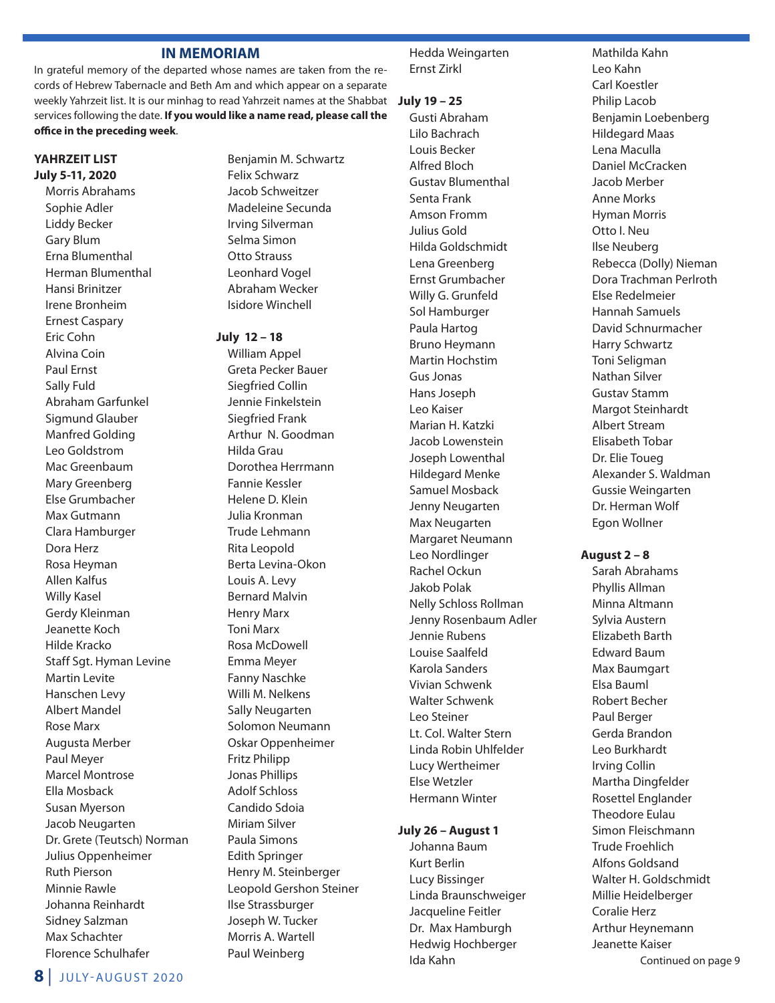### **IN MEMORIAM**

In grateful memory of the departed whose names are taken from the records of Hebrew Tabernacle and Beth Am and which appear on a separate weekly Yahrzeit list. It is our minhag to read Yahrzeit names at the Shabbat **July 19 – 25** services following the date. **If you would like a name read, please call the office in the preceding week**.

### **YAHRZEIT LIST July 5-11, 2020**

Morris Abrahams Sophie Adler Liddy Becker Gary Blum Erna Blumenthal Herman Blumenthal Hansi Brinitzer Irene Bronheim Ernest Caspary Eric Cohn Alvina Coin Paul Ernst Sally Fuld Abraham Garfunkel Sigmund Glauber Manfred Golding Leo Goldstrom Mac Greenbaum Mary Greenberg Else Grumbacher Max Gutmann Clara Hamburger Dora Herz Rosa Heyman Allen Kalfus Willy Kasel Gerdy Kleinman Jeanette Koch Hilde Kracko Staff Sgt. Hyman Levine Martin Levite Hanschen Levy Albert Mandel Rose Marx Augusta Merber Paul Meyer Marcel Montrose Ella Mosback Susan Myerson Jacob Neugarten Dr. Grete (Teutsch) Norman Julius Oppenheimer Ruth Pierson Minnie Rawle Johanna Reinhardt Sidney Salzman Max Schachter Florence Schulhafer

- Benjamin M. Schwartz Felix Schwarz Jacob Schweitzer Madeleine Secunda Irving Silverman Selma Simon Otto Strauss Leonhard Vogel Abraham Wecker Isidore Winchell
- **July 12 18**

William Appel Greta Pecker Bauer Siegfried Collin Jennie Finkelstein Siegfried Frank Arthur N. Goodman Hilda Grau Dorothea Herrmann Fannie Kessler Helene D. Klein Julia Kronman Trude Lehmann Rita Leopold Berta Levina-Okon Louis A. Levy Bernard Malvin Henry Marx Toni Marx Rosa McDowell Emma Meyer Fanny Naschke Willi M. Nelkens Sally Neugarten Solomon Neumann Oskar Oppenheimer Fritz Philipp Jonas Phillips Adolf Schloss Candido Sdoia Miriam Silver Paula Simons Edith Springer Henry M. Steinberger Leopold Gershon Steiner Ilse Strassburger Joseph W. Tucker Morris A. Wartell Paul Weinberg

Hedda Weingarten Ernst Zirkl

Gusti Abraham Lilo Bachrach Louis Becker Alfred Bloch Gustav Blumenthal Senta Frank Amson Fromm Julius Gold Hilda Goldschmidt Lena Greenberg Ernst Grumbacher Willy G. Grunfeld Sol Hamburger Paula Hartog Bruno Heymann Martin Hochstim Gus Jonas Hans Joseph Leo Kaiser Marian H. Katzki Jacob Lowenstein Joseph Lowenthal Hildegard Menke Samuel Mosback Jenny Neugarten Max Neugarten Margaret Neumann Leo Nordlinger Rachel Ockun Jakob Polak Nelly Schloss Rollman Jenny Rosenbaum Adler Jennie Rubens Louise Saalfeld Karola Sanders Vivian Schwenk Walter Schwenk Leo Steiner Lt. Col. Walter Stern Linda Robin Uhlfelder Lucy Wertheimer Else Wetzler Hermann Winter

### **July 26 – August 1**

Johanna Baum Kurt Berlin Lucy Bissinger Linda Braunschweiger Jacqueline Feitler Dr. Max Hamburgh Hedwig Hochberger Ida Kahn

Mathilda Kahn Leo Kahn Carl Koestler Philip Lacob Benjamin Loebenberg Hildegard Maas Lena Maculla Daniel McCracken Jacob Merber Anne Morks Hyman Morris Otto I. Neu Ilse Neuberg Rebecca (Dolly) Nieman Dora Trachman Perlroth Else Redelmeier Hannah Samuels David Schnurmacher Harry Schwartz Toni Seligman Nathan Silver Gustav Stamm Margot Steinhardt Albert Stream Elisabeth Tobar Dr. Elie Toueg Alexander S. Waldman Gussie Weingarten Dr. Herman Wolf Egon Wollner

#### **August 2 – 8**

Sarah Abrahams Phyllis Allman Minna Altmann Sylvia Austern Elizabeth Barth Edward Baum Max Baumgart Elsa Bauml Robert Becher Paul Berger Gerda Brandon Leo Burkhardt Irving Collin Martha Dingfelder Rosettel Englander Theodore Eulau Simon Fleischmann Trude Froehlich Alfons Goldsand Walter H. Goldschmidt Millie Heidelberger Coralie Herz Arthur Heynemann Jeanette Kaiser Continued on page 9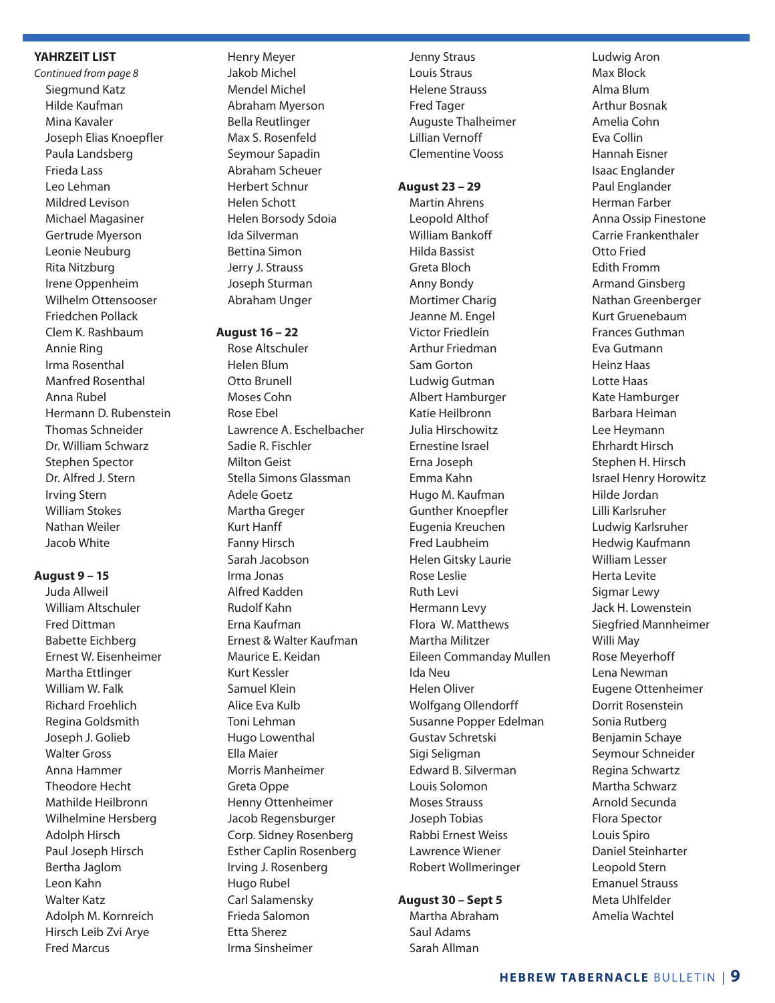### **YAHRZEIT LIST**

*Continued from page 8* Siegmund Katz Hilde Kaufman Mina Kavaler Joseph Elias Knoepfler Paula Landsberg Frieda Lass Leo Lehman Mildred Levison Michael Magasiner Gertrude Myerson Leonie Neuburg Rita Nitzburg Irene Oppenheim Wilhelm Ottensooser Friedchen Pollack Clem K. Rashbaum Annie Ring Irma Rosenthal Manfred Rosenthal Anna Rubel Hermann D. Rubenstein Thomas Schneider Dr. William Schwarz Stephen Spector Dr. Alfred J. Stern Irving Stern William Stokes Nathan Weiler Jacob White

#### **August 9 – 15**

Juda Allweil William Altschuler Fred Dittman Babette Eichberg Ernest W. Eisenheimer Martha Ettlinger William W. Falk Richard Froehlich Regina Goldsmith Joseph J. Golieb Walter Gross Anna Hammer Theodore Hecht Mathilde Heilbronn Wilhelmine Hersberg Adolph Hirsch Paul Joseph Hirsch Bertha Jaglom Leon Kahn Walter Katz Adolph M. Kornreich Hirsch Leib Zvi Arye Fred Marcus

Henry Meyer Jakob Michel Mendel Michel Abraham Myerson Bella Reutlinger Max S. Rosenfeld Seymour Sapadin Abraham Scheuer Herbert Schnur Helen Schott Helen Borsody Sdoia Ida Silverman Bettina Simon Jerry J. Strauss Joseph Sturman Abraham Unger

#### **August 16 – 22**

Rose Altschuler Helen Blum Otto Brunell Moses Cohn Rose Ebel Lawrence A. Eschelbacher Sadie R. Fischler Milton Geist Stella Simons Glassman Adele Goetz Martha Greger Kurt Hanff Fanny Hirsch Sarah Jacobson Irma Jonas Alfred Kadden Rudolf Kahn Erna Kaufman Ernest & Walter Kaufman Maurice E. Keidan Kurt Kessler Samuel Klein Alice Eva Kulb Toni Lehman Hugo Lowenthal Ella Maier Morris Manheimer Greta Oppe Henny Ottenheimer Jacob Regensburger Corp. Sidney Rosenberg Esther Caplin Rosenberg Irving J. Rosenberg Hugo Rubel Carl Salamensky Frieda Salomon Etta Sherez Irma Sinsheimer

Jenny Straus Louis Straus Helene Strauss Fred Tager Auguste Thalheimer Lillian Vernoff Clementine Vooss

#### **August 23 – 29**

Martin Ahrens Leopold Althof William Bankoff Hilda Bassist Greta Bloch Anny Bondy Mortimer Charig Jeanne M. Engel Victor Friedlein Arthur Friedman Sam Gorton Ludwig Gutman Albert Hamburger Katie Heilbronn Julia Hirschowitz Ernestine Israel Erna Joseph Emma Kahn Hugo M. Kaufman Gunther Knoepfler Eugenia Kreuchen Fred Laubheim Helen Gitsky Laurie Rose Leslie Ruth Levi Hermann Levy Flora W. Matthews Martha Militzer Eileen Commanday Mullen Ida Neu Helen Oliver Wolfgang Ollendorff Susanne Popper Edelman Gustav Schretski Sigi Seligman Edward B. Silverman Louis Solomon Moses Strauss Joseph Tobias Rabbi Ernest Weiss Lawrence Wiener Robert Wollmeringer

### **August 30 – Sept 5**

Martha Abraham Saul Adams Sarah Allman

Ludwig Aron Max Block Alma Blum Arthur Bosnak Amelia Cohn Eva Collin Hannah Eisner Isaac Englander Paul Englander Herman Farber Anna Ossip Finestone Carrie Frankenthaler Otto Fried Edith Fromm Armand Ginsberg Nathan Greenberger Kurt Gruenebaum Frances Guthman Eva Gutmann Heinz Haas Lotte Haas Kate Hamburger Barbara Heiman Lee Heymann Ehrhardt Hirsch Stephen H. Hirsch Israel Henry Horowitz Hilde Jordan Lilli Karlsruher Ludwig Karlsruher Hedwig Kaufmann William Lesser Herta Levite Sigmar Lewy Jack H. Lowenstein Siegfried Mannheimer Willi May Rose Meyerhoff Lena Newman Eugene Ottenheimer Dorrit Rosenstein Sonia Rutberg Benjamin Schaye Seymour Schneider Regina Schwartz Martha Schwarz Arnold Secunda Flora Spector Louis Spiro Daniel Steinharter Leopold Stern Emanuel Strauss Meta Uhlfelder Amelia Wachtel